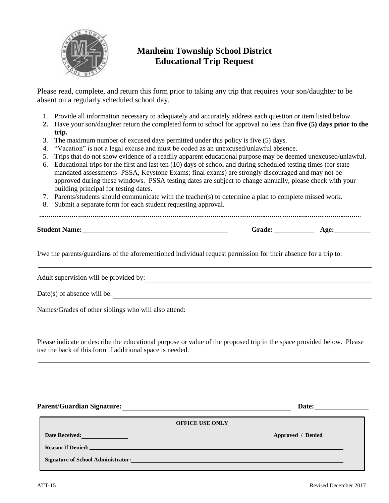

## **Manheim Township School District Educational Trip Request**

Please read, complete, and return this form prior to taking any trip that requires your son/daughter to be absent on a regularly scheduled school day.

- 1. Provide all information necessary to adequately and accurately address each question or item listed below.
- **2.** Have your son/daughter return the completed form to school for approval no less than **five (5) days prior to the trip.**
- 3. The maximum number of excused days permitted under this policy is five (5) days.
- 4. "Vacation" is not a legal excuse and must be coded as an unexcused/unlawful absence.
- 5. Trips that do not show evidence of a readily apparent educational purpose may be deemed unexcused/unlawful.
- 6. Educational trips for the first and last ten (10) days of school and during scheduled testing times (for statemandated assessments- PSSA, Keystone Exams; final exams) are strongly discouraged and may not be approved during these windows. PSSA testing dates are subject to change annually, please check with your building principal for testing dates.
- 7. Parents/students should communicate with the teacher(s) to determine a plan to complete missed work.
- 8. Submit a separate form for each student requesting approval.

**Student Name: Grade: Age:**

I/we the parents/guardians of the aforementioned individual request permission for their absence for a trip to:

Adult supervision will be provided by:<br>
<u>Adult supervision will be provided by:</u>

Date(s) of absence will be:

Names/Grades of other siblings who will also attend:

Please indicate or describe the educational purpose or value of the proposed trip in the space provided below. Please use the back of this form if additional space is needed.

**Parent/Guardian Signature: Date:**

| <b>OFFICE USE ONLY</b>                                                                                                                                                                                                              |                   |
|-------------------------------------------------------------------------------------------------------------------------------------------------------------------------------------------------------------------------------------|-------------------|
| <b>Date Received:</b>                                                                                                                                                                                                               | Approved / Denied |
| <b>Reason If Denied:</b> The contract of the contract of the contract of the contract of the contract of the contract of the contract of the contract of the contract of the contract of the contract of the contract of the contra |                   |
| <b>Signature of School Administrator:</b>                                                                                                                                                                                           |                   |
|                                                                                                                                                                                                                                     |                   |